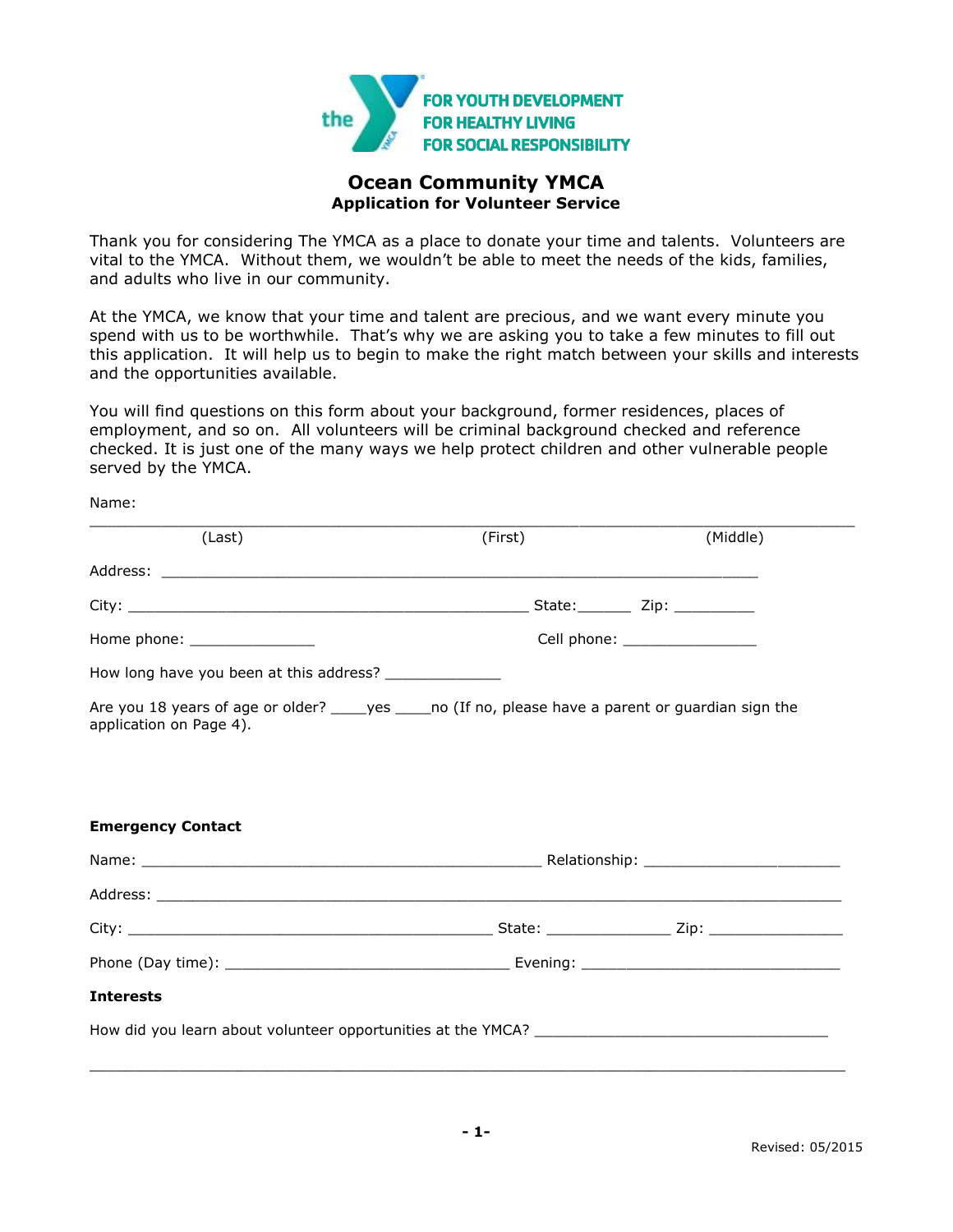

# **Ocean Community YMCA Application for Volunteer Service**

Thank you for considering The YMCA as a place to donate your time and talents. Volunteers are vital to the YMCA. Without them, we wouldn't be able to meet the needs of the kids, families, and adults who live in our community.

At the YMCA, we know that your time and talent are precious, and we want every minute you spend with us to be worthwhile. That's why we are asking you to take a few minutes to fill out this application. It will help us to begin to make the right match between your skills and interests and the opportunities available.

You will find questions on this form about your background, former residences, places of employment, and so on. All volunteers will be criminal background checked and reference checked. It is just one of the many ways we help protect children and other vulnerable people served by the YMCA.

Name:

| (Last)                        | (First)                                                                                                  | (Middle)                       |
|-------------------------------|----------------------------------------------------------------------------------------------------------|--------------------------------|
|                               |                                                                                                          |                                |
|                               |                                                                                                          |                                |
| Home phone: _________________ |                                                                                                          | Cell phone: __________________ |
|                               |                                                                                                          |                                |
| application on Page 4).       | Are you 18 years of age or older? ______ yes ______ no (If no, please have a parent or guardian sign the |                                |
|                               |                                                                                                          |                                |
|                               |                                                                                                          |                                |
|                               |                                                                                                          |                                |
|                               |                                                                                                          |                                |
| <b>Emergency Contact</b>      |                                                                                                          |                                |
|                               |                                                                                                          |                                |
|                               |                                                                                                          |                                |
|                               |                                                                                                          |                                |
|                               |                                                                                                          |                                |
| <b>Interests</b>              |                                                                                                          |                                |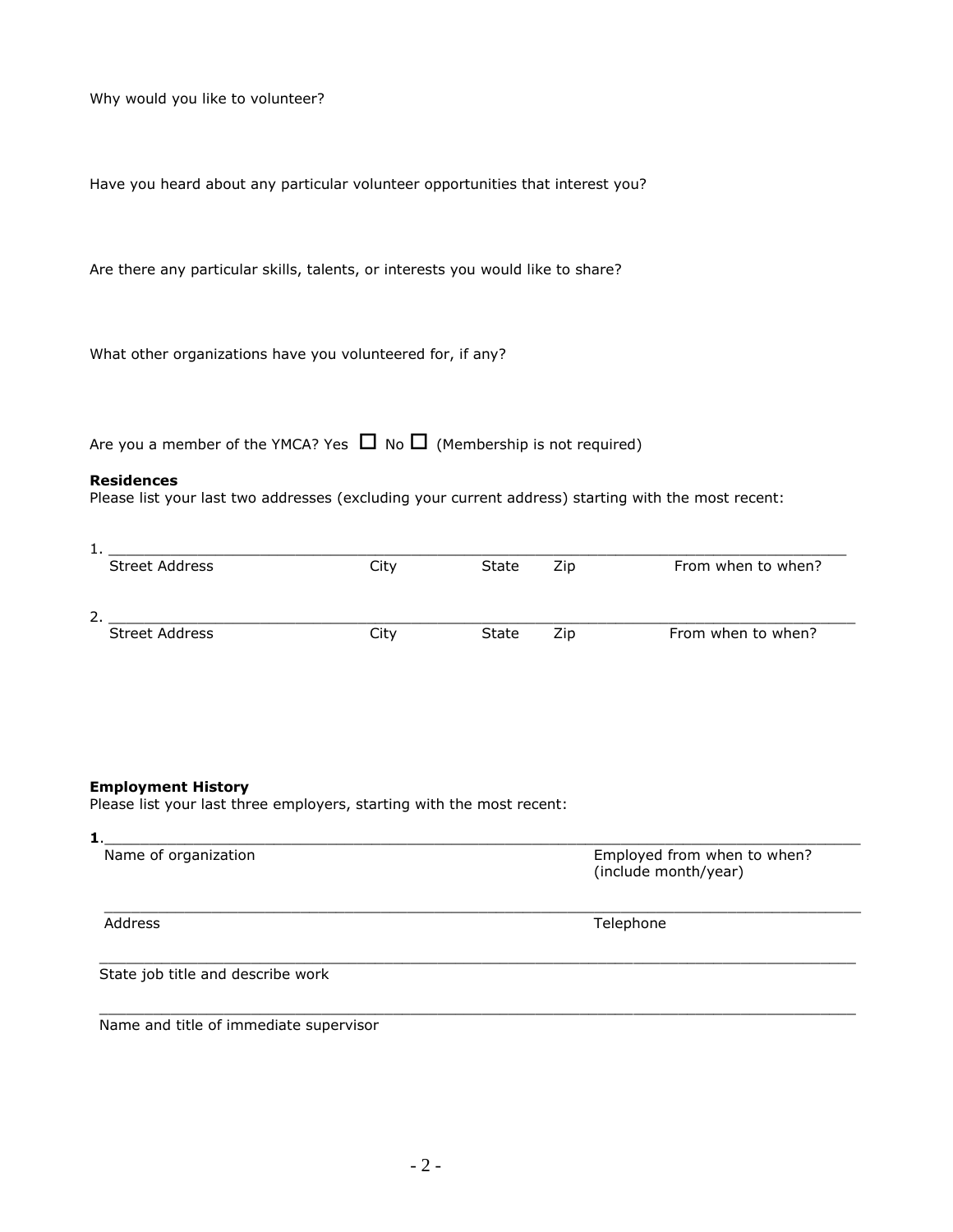Why would you like to volunteer?

Have you heard about any particular volunteer opportunities that interest you?

Are there any particular skills, talents, or interests you would like to share?

What other organizations have you volunteered for, if any?

Are you a member of the YMCA? Yes  $\Box$  No  $\Box$  (Membership is not required)

#### **Residences**

Please list your last two addresses (excluding your current address) starting with the most recent:

| л.,                   |      |       |     |                    |
|-----------------------|------|-------|-----|--------------------|
| <b>Street Address</b> | City | State | Zip | From when to when? |
| 2                     |      |       |     |                    |
| <b>Street Address</b> | City | State | Zip | From when to when? |

### **Employment History**

Please list your last three employers, starting with the most recent:

| Name of organization                   | Employed from when to when?<br>(include month/year) |
|----------------------------------------|-----------------------------------------------------|
| Address                                | Telephone                                           |
| State job title and describe work      |                                                     |
| Name and title of immediate supervisor |                                                     |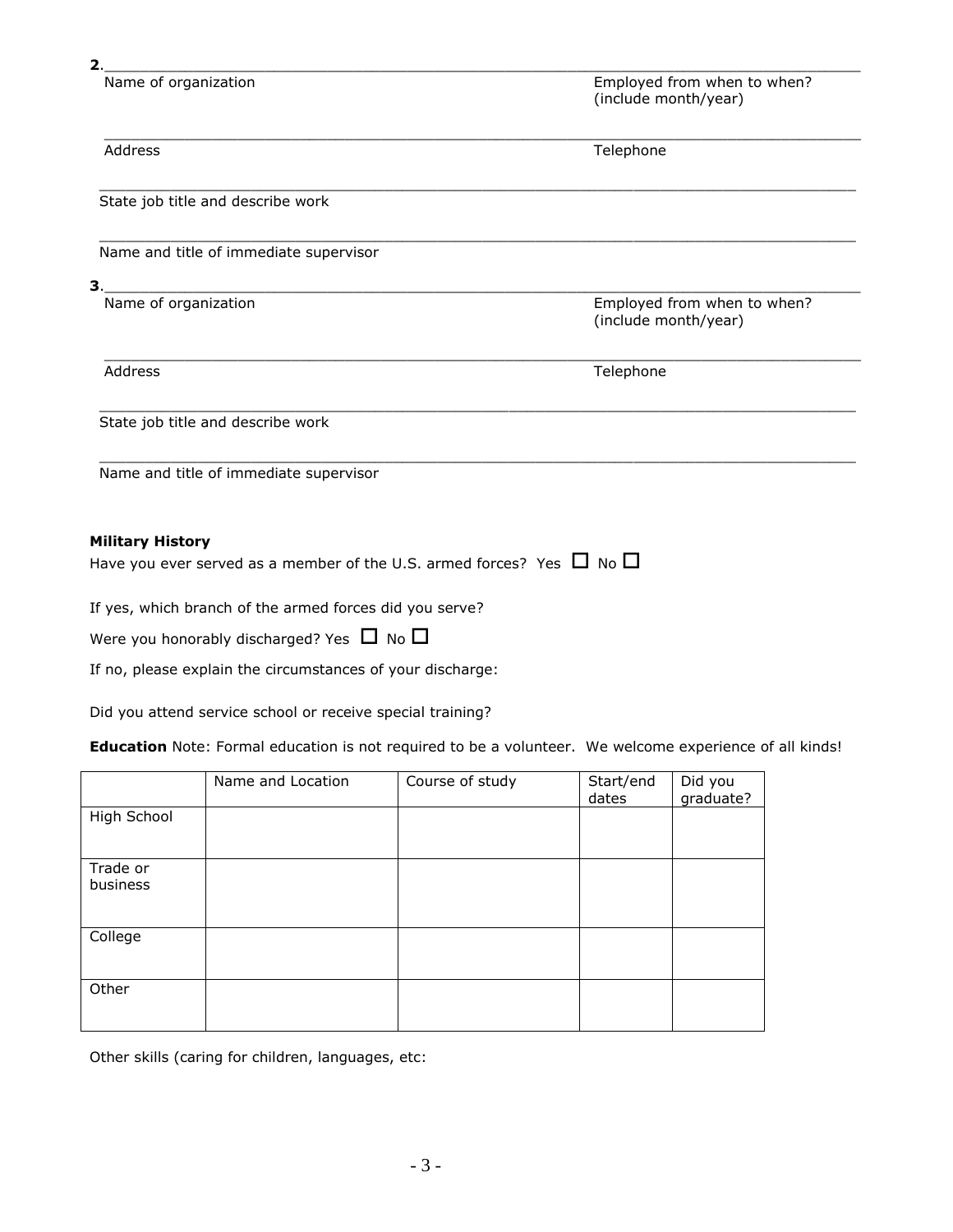Name of organization **Name of organization** Employed from when to when? (include month/year)

| Address                                                                         | Telephone                                           |
|---------------------------------------------------------------------------------|-----------------------------------------------------|
|                                                                                 |                                                     |
| State job title and describe work                                               |                                                     |
| Name and title of immediate supervisor                                          |                                                     |
| 3.                                                                              |                                                     |
| Name of organization                                                            | Employed from when to when?<br>(include month/year) |
| Address                                                                         | Telephone                                           |
| State job title and describe work                                               |                                                     |
| Name and title of immediate supervisor                                          |                                                     |
| <b>Military History</b>                                                         |                                                     |
| Have you ever served as a member of the U.S. armed forces? Yes $\Box$ No $\Box$ |                                                     |
| If yes, which branch of the armed forces did you serve?                         |                                                     |
| Were you honorably discharged? Yes $\Box$ No $\Box$                             |                                                     |

If no, please explain the circumstances of your discharge:

Did you attend service school or receive special training?

**Education** Note: Formal education is not required to be a volunteer. We welcome experience of all kinds!

|                      | Name and Location | Course of study | Start/end<br>dates | Did you<br>graduate? |
|----------------------|-------------------|-----------------|--------------------|----------------------|
| High School          |                   |                 |                    |                      |
| Trade or<br>business |                   |                 |                    |                      |
| College              |                   |                 |                    |                      |
| Other                |                   |                 |                    |                      |

Other skills (caring for children, languages, etc: